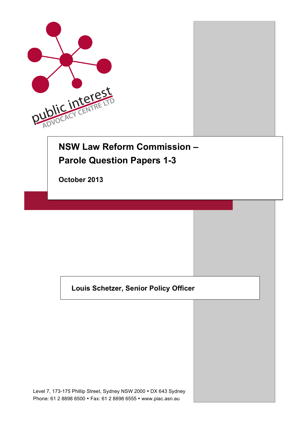

# **NSW Law Reform Commission – Parole Question Papers 1-3**

**October 2013** 

## **Louis Schetzer, Senior Policy Officer**

Level 7, 173-175 Phillip Street, Sydney NSW 2000 • DX 643 Sydney Phone: 61 2 8898 6500 • Fax: 61 2 8898 6555 • www.piac.asn.au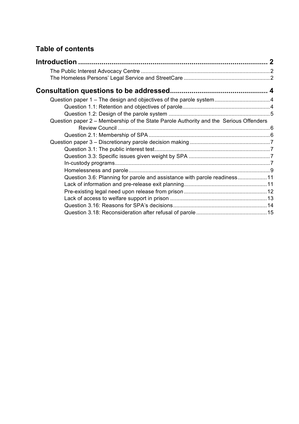## **Table of contents**

| Question paper 1 - The design and objectives of the parole system4                    |  |
|---------------------------------------------------------------------------------------|--|
|                                                                                       |  |
|                                                                                       |  |
| Question paper 2 – Membership of the State Parole Authority and the Serious Offenders |  |
|                                                                                       |  |
|                                                                                       |  |
|                                                                                       |  |
|                                                                                       |  |
|                                                                                       |  |
|                                                                                       |  |
|                                                                                       |  |
| Question 3.6: Planning for parole and assistance with parole readiness 11             |  |
|                                                                                       |  |
|                                                                                       |  |
|                                                                                       |  |
|                                                                                       |  |
|                                                                                       |  |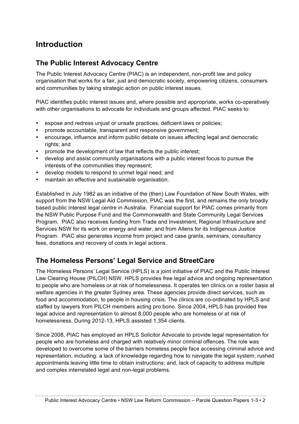## **Introduction**

### **The Public Interest Advocacy Centre**

The Public Interest Advocacy Centre (PIAC) is an independent, non-profit law and policy organisation that works for a fair, just and democratic society, empowering citizens, consumers and communities by taking strategic action on public interest issues.

PIAC identifies public interest issues and, where possible and appropriate, works co-operatively with other organisations to advocate for individuals and groups affected. PIAC seeks to:

- expose and redress unjust or unsafe practices, deficient laws or policies;
- promote accountable, transparent and responsive government;
- encourage, influence and inform public debate on issues affecting legal and democratic rights; and
- promote the development of law that reflects the public interest;
- develop and assist community organisations with a public interest focus to pursue the interests of the communities they represent;
- develop models to respond to unmet legal need; and
- maintain an effective and sustainable organisation.

Established in July 1982 as an initiative of the (then) Law Foundation of New South Wales, with support from the NSW Legal Aid Commission, PIAC was the first, and remains the only broadly based public interest legal centre in Australia. Financial support for PIAC comes primarily from the NSW Public Purpose Fund and the Commonwealth and State Community Legal Services Program. PIAC also receives funding from Trade and Investment, Regional Infrastructure and Services NSW for its work on energy and water, and from Allens for its Indigenous Justice Program. PIAC also generates income from project and case grants, seminars, consultancy fees, donations and recovery of costs in legal actions.

### **The Homeless Persons' Legal Service and StreetCare**

The Homeless Persons' Legal Service (HPLS) is a joint initiative of PIAC and the Public Interest Law Clearing House (PILCH) NSW. HPLS provides free legal advice and ongoing representation to people who are homeless or at risk of homelessness. It operates ten clinics on a roster basis at welfare agencies in the greater Sydney area. These agencies provide direct services, such as food and accommodation, to people in housing crisis. The clinics are co-ordinated by HPLS and staffed by lawyers from PILCH members acting pro bono. Since 2004, HPLS has provided free legal advice and representation to almost 8,000 people who are homeless or at risk of homelessness. During 2012-13, HPLS assisted 1,354 clients.

Since 2008, PIAC has employed an HPLS Solicitor Advocate to provide legal representation for people who are homeless and charged with relatively minor criminal offences. The role was developed to overcome some of the barriers homeless people face accessing criminal advice and representation, including: a lack of knowledge regarding how to navigate the legal system; rushed appointments leaving little time to obtain instructions; and, lack of capacity to address multiple and complex interrelated legal and non-legal problems.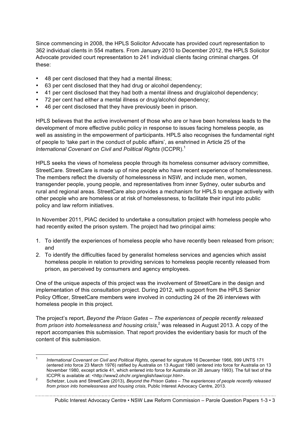Since commencing in 2008, the HPLS Solicitor Advocate has provided court representation to 362 individual clients in 554 matters. From January 2010 to December 2012, the HPLS Solicitor Advocate provided court representation to 241 individual clients facing criminal charges. Of these:

- 48 per cent disclosed that they had a mental illness;
- 63 per cent disclosed that they had drug or alcohol dependency;
- 41 per cent disclosed that they had both a mental illness and drug/alcohol dependency;
- 72 per cent had either a mental illness or drug/alcohol dependency;
- 46 per cent disclosed that they have previously been in prison.

HPLS believes that the active involvement of those who are or have been homeless leads to the development of more effective public policy in response to issues facing homeless people, as well as assisting in the empowerment of participants. HPLS also recognises the fundamental right of people to 'take part in the conduct of public affairs', as enshrined in Article 25 of the *International Covenant on Civil and Political Rights* (ICCPR).<sup>1</sup>

HPLS seeks the views of homeless people through its homeless consumer advisory committee, StreetCare. StreetCare is made up of nine people who have recent experience of homelessness. The members reflect the diversity of homelessness in NSW, and include men, women, transgender people, young people, and representatives from inner Sydney, outer suburbs and rural and regional areas. StreetCare also provides a mechanism for HPLS to engage actively with other people who are homeless or at risk of homelessness, to facilitate their input into public policy and law reform initiatives.

In November 2011, PIAC decided to undertake a consultation project with homeless people who had recently exited the prison system. The project had two principal aims:

- 1. To identify the experiences of homeless people who have recently been released from prison; and
- 2. To identify the difficulties faced by generalist homeless services and agencies which assist homeless people in relation to providing services to homeless people recently released from prison, as perceived by consumers and agency employees.

One of the unique aspects of this project was the involvement of StreetCare in the design and implementation of this consultation project. During 2012, with support from the HPLS Senior Policy Officer, StreetCare members were involved in conducting 24 of the 26 interviews with homeless people in this project.

The project's report, *Beyond the Prison Gates – The experiences of people recently released*  from prison into homelessness and housing crisis,<sup>2</sup> was released in August 2013. A copy of the report accompanies this submission. That report provides the evidentiary basis for much of the content of this submission.

Public Interest Advocacy Centre • NSW Law Reform Commission – Parole Question Papers 1-3 • 3

 <sup>1</sup> *International Covenant on Civil and Political Rights*, opened for signature 16 December 1966, 999 UNTS 171 (entered into force 23 March 1976) ratified by Australia on 13 August 1980 (entered into force for Australia on 13 November 1980, except article 41, which entered into force for Australia on 28 January 1993). The full text of the

ICCPR is available at: <http://www2.ohchr.org/english/law/ccpr.htm>.<br>2 Schetzer, Louis and StreetCare (2013), *Beyond the Prison Gates – The experiences of people recently released from prison into homelessness and housing crisis*, Public Interest Advocacy Centre, 2013.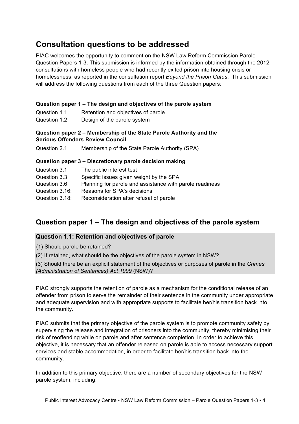## **Consultation questions to be addressed**

PIAC welcomes the opportunity to comment on the NSW Law Reform Commission Parole Question Papers 1-3. This submission is informed by the information obtained through the 2012 consultations with homeless people who had recently exited prison into housing crisis or homelessness, as reported in the consultation report *Beyond the Prison Gates*. This submission will address the following questions from each of the three Question papers:

#### **Question paper 1 – The design and objectives of the parole system**

| Question 1.1: | Retention and objectives of parole |
|---------------|------------------------------------|
| Question 1.2: | Design of the parole system        |

#### **Question paper 2 – Membership of the State Parole Authority and the Serious Offenders Review Council**

Question 2.1: Membership of the State Parole Authority (SPA)

#### **Question paper 3 – Discretionary parole decision making**

| Question 3.1:  | The public interest test                                 |
|----------------|----------------------------------------------------------|
| Question 3.3:  | Specific issues given weight by the SPA                  |
| Question 3.6:  | Planning for parole and assistance with parole readiness |
| Question 3.16: | Reasons for SPA's decisions                              |
| Question 3.18: | Reconsideration after refusal of parole                  |

## **Question paper 1 – The design and objectives of the parole system**

#### **Question 1.1: Retention and objectives of parole**

(1) Should parole be retained?

(2) If retained, what should be the objectives of the parole system in NSW?

(3) Should there be an explicit statement of the objectives or purposes of parole in the *Crimes (Administration of Sentences) Act 1999* (NSW)?

PIAC strongly supports the retention of parole as a mechanism for the conditional release of an offender from prison to serve the remainder of their sentence in the community under appropriate and adequate supervision and with appropriate supports to facilitate her/his transition back into the community.

PIAC submits that the primary objective of the parole system is to promote community safety by supervising the release and integration of prisoners into the community, thereby minimising their risk of reoffending while on parole and after sentence completion. In order to achieve this objective, it is necessary that an offender released on parole is able to access necessary support services and stable accommodation, in order to facilitate her/his transition back into the community.

In addition to this primary objective, there are a number of secondary objectives for the NSW parole system, including:

Public Interest Advocacy Centre • NSW Law Reform Commission – Parole Question Papers 1-3 • 4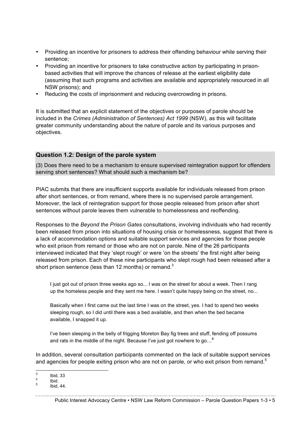- Providing an incentive for prisoners to address their offending behaviour while serving their sentence;
- Providing an incentive for prisoners to take constructive action by participating in prisonbased activities that will improve the chances of release at the earliest eligibility date (assuming that such programs and activities are available and appropriately resourced in all NSW prisons); and
- Reducing the costs of imprisonment and reducing overcrowding in prisons.

It is submitted that an explicit statement of the objectives or purposes of parole should be included in the *Crimes (Administration of Sentences) Act 1999* (NSW), as this will facilitate greater community understanding about the nature of parole and its various purposes and objectives.

#### **Question 1.2: Design of the parole system**

(3) Does there need to be a mechanism to ensure supervised reintegration support for offenders serving short sentences? What should such a mechanism be?

PIAC submits that there are insufficient supports available for individuals released from prison after short sentences, or from remand, where there is no supervised parole arrangement. Moreover, the lack of reintegration support for those people released from prison after short sentences without parole leaves them vulnerable to homelessness and reoffending.

Responses to the *Beyond the Prison Gates* consultations, involving individuals who had recently been released from prison into situations of housing crisis or homelessness, suggest that there is a lack of accommodation options and suitable support services and agencies for those people who exit prison from remand or those who are not on parole. Nine of the 26 participants interviewed indicated that they 'slept rough' or were 'on the streets' the first night after being released from prison. Each of these nine participants who slept rough had been released after a short prison sentence (less than 12 months) or remand.<sup>3</sup>

I just got out of prison three weeks ago so... I was on the street for about a week. Then I rang up the homeless people and they sent me here. I wasn't quite happy being on the street, no...

Basically when I first came out the last time I was on the street, yes. I had to spend two weeks sleeping rough, so I did until there was a bed available, and then when the bed became available, I snapped it up.

I've been sleeping in the belly of frigging Moreton Bay fig trees and stuff, fending off possums and rats in the middle of the night. Because I've just got nowhere to go…**<sup>4</sup>**

In addition, several consultation participants commented on the lack of suitable support services and agencies for people exiting prison who are not on parole, or who exit prison from remand.<sup>5</sup>

<sup>3</sup> Ibid, 33 <sup>4</sup> Ibid. <sup>5</sup> Ibid, 44.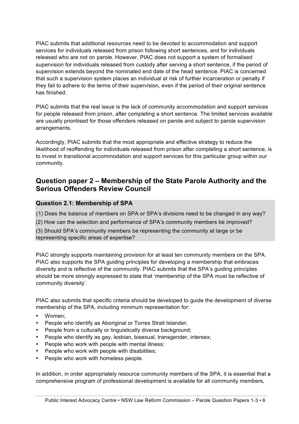PIAC submits that additional resources need to be devoted to accommodation and support services for individuals released from prison following short sentences, and for individuals released who are not on parole. However, PIAC does not support a system of formalised supervision for individuals released from custody after serving a short sentence, if the period of supervision extends beyond the nominated end date of the head sentence. PIAC is concerned that such a supervision system places an individual at risk of further incarceration or penalty if they fail to adhere to the terms of their supervision, even if the period of their original sentence has finished.

PIAC submits that the real issue is the lack of community accommodation and support services for people released from prison, after completing a short sentence. The limited services available are usually prioritised for those offenders released on parole and subject to parole supervision arrangements.

Accordingly, PIAC submits that the most appropriate and effective strategy to reduce the likelihood of reoffending for individuals released from prison after completing a short sentence, is to invest in transitional accommodation and support services for this particular group within our community.

## **Question paper 2 – Membership of the State Parole Authority and the Serious Offenders Review Council**

#### **Question 2.1: Membership of SPA**

(1) Does the balance of members on SPA or SPA's divisions need to be changed in any way?

(2) How can the selection and performance of SPA's community members be improved?

(3) Should SPA's community members be representing the community at large or be representing specific areas of expertise?

PIAC strongly supports maintaining provision for at least ten community members on the SPA. PIAC also supports the SPA guiding principles for developing a membership that embraces diversity and is reflective of the community. PIAC submits that the SPA's guiding principles should be more strongly expressed to state that 'membership of the SPA must be reflective of community diversity'.

PIAC also submits that specific criteria should be developed to guide the development of diverse membership of the SPA, including minimum representation for:

- Women;
- People who identify as Aboriginal or Torres Strait Islander;
- People from a culturally or linguistically diverse background;
- People who identify as gay, lesbian, bisexual, transgender, intersex;
- People who work with people with mental illness;
- People who work with people with disabilities;
- People who work with homeless people.

In addition, in order appropriately resource community members of the SPA, it is essential that a comprehensive program of professional development is available for all community members,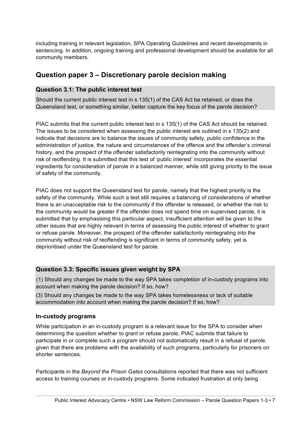including training in relevant legislation, SPA Operating Guidelines and recent developments in sentencing. In addition, ongoing training and professional development should be available for all community members.

## **Question paper 3 – Discretionary parole decision making**

#### **Question 3.1: The public interest test**

Should the current public interest test in s 135(1) of the CAS Act be retained, or does the Queensland test, or something similar, better capture the key focus of the parole decision?

PIAC submits that the current public interest test in s 135(1) of the CAS Act should be retained. The issues to be considered when assessing the public interest are outlined in s 135(2) and indicate that decisions are to balance the issues of community safety, public confidence in the administration of justice, the nature and circumstances of the offence and the offender's criminal history, and the prospect of the offender satisfactorily reintegrating into the community without risk of reoffending. It is submitted that this test of 'public interest' incorporates the essential ingredients for consideration of parole in a balanced manner, while still giving priority to the issue of safety of the community.

PIAC does not support the Queensland test for parole, namely that the highest priority is the safety of the community. While such a test still requires a balancing of considerations of whether there is an unacceptable risk to the community if the offender is released, or whether the risk to the community would be greater if the offender does not spend time on supervised parole, it is submitted that by emphasising this particular aspect, insufficient attention will be given to the other issues that are highly relevant in terms of assessing the public interest of whether to grant or refuse parole. Moreover, the prospect of the offender satisfactorily reintegrating into the community without risk of reoffending is significant in terms of community safety, yet is deprioritised under the Queensland test for parole.

#### **Question 3.3: Specific issues given weight by SPA**

(1) Should any changes be made to the way SPA takes completion of in-custody programs into account when making the parole decision? If so, how?

(3) Should any changes be made to the way SPA takes homelessness or lack of suitable accommodation into account when making the parole decision? If so, how?

#### **In-custody programs**

While participation in an in-custody program is a relevant issue for the SPA to consider when determining the question whether to grant or refuse parole, PIAC submits that failure to participate in or complete such a program should not automatically result in a refusal of parole, given that there are problems with the availability of such programs, particularly for prisoners on shorter sentences.

Participants in the *Beyond the Prison Gates* consultations reported that there was not sufficient access to training courses or in-custody programs. Some indicated frustration at only being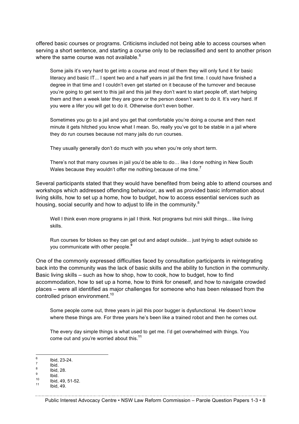offered basic courses or programs. Criticisms included not being able to access courses when serving a short sentence, and starting a course only to be reclassified and sent to another prison where the same course was not available.<sup>6</sup>

Some jails it's very hard to get into a course and most of them they will only fund it for basic literacy and basic IT... I spent two and a half years in jail the first time. I could have finished a degree in that time and I couldn't even get started on it because of the turnover and because you're going to get sent to this jail and this jail they don't want to start people off, start helping them and then a week later they are gone or the person doesn't want to do it. It's very hard. If you were a lifer you will get to do it. Otherwise don't even bother.

Sometimes you go to a jail and you get that comfortable you're doing a course and then next minute it gets hitched you know what I mean. So, really you've got to be stable in a jail where they do run courses because not many jails do run courses.

They usually generally don't do much with you when you're only short term.

There's not that many courses in jail you'd be able to do… like I done nothing in New South Wales because they wouldn't offer me nothing because of me time. **7**

Several participants stated that they would have benefited from being able to attend courses and workshops which addressed offending behaviour, as well as provided basic information about living skills, how to set up a home, how to budget, how to access essential services such as housing, social security and how to adjust to life in the community.<sup>8</sup>

Well I think even more programs in jail I think. Not programs but mini skill things... like living skills.

Run courses for blokes so they can get out and adapt outside... just trying to adapt outside so you communicate with other people.**<sup>9</sup>**

One of the commonly expressed difficulties faced by consultation participants in reintegrating back into the community was the lack of basic skills and the ability to function in the community. Basic living skills – such as how to shop, how to cook, how to budget, how to find accommodation, how to set up a home, how to think for oneself, and how to navigate crowded places – were all identified as major challenges for someone who has been released from the controlled prison environment.<sup>10</sup>

Some people come out, three years in jail this poor bugger is dysfunctional. He doesn't know where these things are. For three years he's been like a trained robot and then he comes out.

The every day simple things is what used to get me. I'd get overwhelmed with things. You come out and you're worried about this.**<sup>11</sup>**

<sup>6</sup> Ibid, 23-24. <sup>7</sup> Ibid. <sup>8</sup> Ibid, 28. <sup>9</sup> Ibid. <sup>10</sup> Ibid, 49, 51-52. <sup>11</sup> Ibid, 49.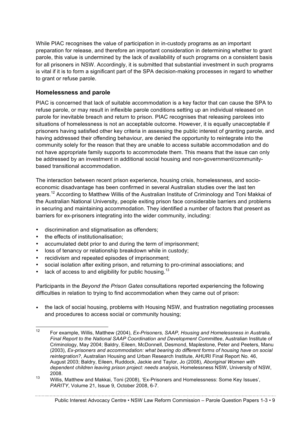While PIAC recognises the value of participation in in-custody programs as an important preparation for release, and therefore an important consideration in determining whether to grant parole, this value is undermined by the lack of availability of such programs on a consistent basis for all prisoners in NSW. Accordingly, it is submitted that substantial investment in such programs is vital if it is to form a significant part of the SPA decision-making processes in regard to whether to grant or refuse parole.

#### **Homelessness and parole**

PIAC is concerned that lack of suitable accommodation is a key factor that can cause the SPA to refuse parole, or may result in inflexible parole conditions setting up an individual released on parole for inevitable breach and return to prison. PIAC recognises that releasing parolees into situations of homelessness is not an acceptable outcome. However, it is equally unacceptable if prisoners having satisfied other key criteria in assessing the public interest of granting parole, and having addressed their offending behaviour, are denied the opportunity to reintegrate into the community solely for the reason that they are unable to access suitable accommodation and do not have appropriate family supports to accommodate them. This means that the issue can only be addressed by an investment in additional social housing and non-government/communitybased transitional accommodation.

The interaction between recent prison experience, housing crisis, homelessness, and socioeconomic disadvantage has been confirmed in several Australian studies over the last ten years.<sup>12</sup> According to Matthew Willis of the Australian Institute of Criminology and Toni Makkai of the Australian National University, people exiting prison face considerable barriers and problems in securing and maintaining accommodation. They identified a number of factors that present as barriers for ex-prisoners integrating into the wider community, including:

- discrimination and stigmatisation as offenders;
- the effects of institutionalisation;
- accumulated debt prior to and during the term of imprisonment;
- loss of tenancy or relationship breakdown while in custody;
- recidivism and repeated episodes of imprisonment;
- social isolation after exiting prison, and returning to pro-criminal associations; and
- lack of access to and eligibility for public housing.<sup>13</sup>

Participants in the *Beyond the Prison Gates* consultations reported experiencing the following difficulties in relation to trying to find accommodation when they came out of prison:

• the lack of social housing, problems with Housing NSW, and frustration negotiating processes and procedures to access social or community housing;

Public Interest Advocacy Centre • NSW Law Reform Commission – Parole Question Papers 1-3 • 9

 <sup>12</sup> For example, Willis, Matthew (2004), *Ex-Prisoners, SAAP, Housing and Homelessness in Australia, Final Report to the National SAAP Coordination and Development Committee*, Australian Institute of Criminology, May 2004; Baldry, Eileen, McDonnell, Desmond, Maplestone, Peter and Peeters, Manu (2003), *Ex-prisoners and accommodation: what bearing do different forms of housing have on social reintegration?*, Australian Housing and Urban Research Institute, AHURI Final Report No. 46, August 2003; Baldry, Eileen, Ruddock, Jackie and Taylor, Jo (2008), *Aboriginal Women with dependent children leaving prison project: needs analysis*, Homelessness NSW, University of NSW, 2008.

<sup>13</sup> Willis, Matthew and Makkai, Toni (2008), 'Ex-Prisoners and Homelessness: Some Key Issues', *PARITY*, Volume 21, Issue 9, October 2008, 6-7.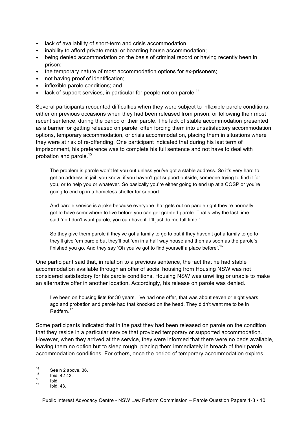- lack of availability of short-term and crisis accommodation;
- inability to afford private rental or boarding house accommodation;
- being denied accommodation on the basis of criminal record or having recently been in prison;
- the temporary nature of most accommodation options for ex-prisoners;
- not having proof of identification;
- inflexible parole conditions; and
- lack of support services, in particular for people not on parole.<sup>14</sup>

Several participants recounted difficulties when they were subject to inflexible parole conditions, either on previous occasions when they had been released from prison, or following their most recent sentence, during the period of their parole. The lack of stable accommodation presented as a barrier for getting released on parole, often forcing them into unsatisfactory accommodation options, temporary accommodation, or crisis accommodation, placing them in situations where they were at risk of re-offending. One participant indicated that during his last term of imprisonment, his preference was to complete his full sentence and not have to deal with probation and parole.<sup>15</sup>

The problem is parole won't let you out unless you've got a stable address. So it's very hard to get an address in jail, you know, if you haven't got support outside, someone trying to find it for you, or to help you or whatever. So basically you're either going to end up at a COSP or you're going to end up in a homeless shelter for support.

And parole service is a joke because everyone that gets out on parole right they're normally got to have somewhere to live before you can get granted parole. That's why the last time I said 'no I don't want parole, you can have it. I'll just do me full time.'

So they give them parole if they've got a family to go to but if they haven't got a family to go to they'll give 'em parole but they'll put 'em in a half way house and then as soon as the parole's finished you go. And they say 'Oh you've got to find yourself a place before'.  $^{16}$ 

One participant said that, in relation to a previous sentence, the fact that he had stable accommodation available through an offer of social housing from Housing NSW was not considered satisfactory for his parole conditions. Housing NSW was unwilling or unable to make an alternative offer in another location. Accordingly, his release on parole was denied.

I've been on housing lists for 30 years. I've had one offer, that was about seven or eight years ago and probation and parole had that knocked on the head. They didn't want me to be in Redfern.<sup>17</sup>

Some participants indicated that in the past they had been released on parole on the condition that they reside in a particular service that provided temporary or supported accommodation. However, when they arrived at the service, they were informed that there were no beds available, leaving them no option but to sleep rough, placing them immediately in breach of their parole accommodation conditions. For others, once the period of temporary accommodation expires,

<sup>&</sup>lt;sup>14</sup> See n 2 above, 36.<br>
<sup>15</sup> Ibid, 42-43.<br>
<sup>17</sup> Ibid. 43.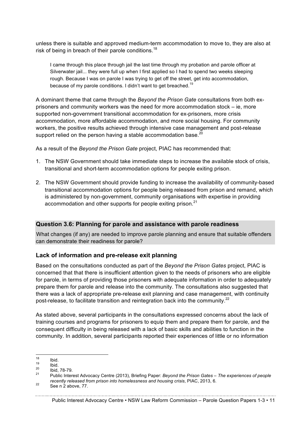unless there is suitable and approved medium-term accommodation to move to, they are also at risk of being in breach of their parole conditions.<sup>18</sup>

I came through this place through jail the last time through my probation and parole officer at Silverwater jail... they were full up when I first applied so I had to spend two weeks sleeping rough. Because I was on parole I was trying to get off the street, get into accommodation, because of my parole conditions. I didn't want to get breached.<sup>19</sup>

A dominant theme that came through the *Beyond the Prison Gate* consultations from both exprisoners and community workers was the need for more accommodation stock – ie, more supported non-government transitional accommodation for ex-prisoners, more crisis accommodation, more affordable accommodation, and more social housing. For community workers, the positive results achieved through intensive case management and post-release support relied on the person having a stable accommodation base.<sup>20</sup>

As a result of the *Beyond the Prison Gate* project, PIAC has recommended that:

- 1. The NSW Government should take immediate steps to increase the available stock of crisis, transitional and short-term accommodation options for people exiting prison.
- 2. The NSW Government should provide funding to increase the availability of community-based transitional accommodation options for people being released from prison and remand, which is administered by non-government, community organisations with expertise in providing accommodation and other supports for people exiting prison.<sup>21</sup>

#### **Question 3.6: Planning for parole and assistance with parole readiness**

What changes (if any) are needed to improve parole planning and ensure that suitable offenders can demonstrate their readiness for parole?

#### **Lack of information and pre-release exit planning**

Based on the consultations conducted as part of the *Beyond the Prison Gates* project, PIAC is concerned that that there is insufficient attention given to the needs of prisoners who are eligible for parole, in terms of providing those prisoners with adequate information in order to adequately prepare them for parole and release into the community. The consultations also suggested that there was a lack of appropriate pre-release exit planning and case management, with continuity post-release, to facilitate transition and reintegration back into the community.<sup>22</sup>

As stated above, several participants in the consultations expressed concerns about the lack of training courses and programs for prisoners to equip them and prepare them for parole, and the consequent difficulty in being released with a lack of basic skills and abilities to function in the community. In addition, several participants reported their experiences of little or no information

<sup>18</sup> Ibid. <sup>19</sup> Ibid. <sup>20</sup> Ibid, 78-79. <sup>21</sup> Public Interest Advocacy Centre (2013), Briefing Paper: *Beyond the Prison Gates – The experiences of people recently released from prison into homelessness and housing crisis*, PIAC, 2013, 6.<br><sup>22</sup> See n 2 above, 77.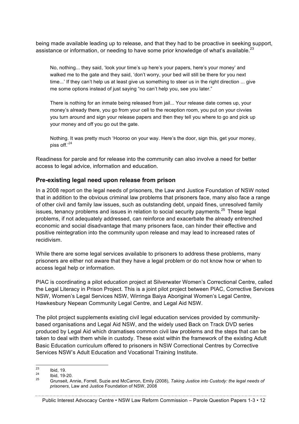being made available leading up to release, and that they had to be proactive in seeking support, assistance or information, or needing to have some prior knowledge of what's available. $^{23}$ 

No, nothing... they said, 'look your time's up here's your papers, here's your money' and walked me to the gate and they said, 'don't worry, your bed will still be there for you next time...' If they can't help us at least give us something to steer us in the right direction ... give me some options instead of just saying "no can't help you, see you later."

There is nothing for an inmate being released from jail... Your release date comes up, your money's already there, you go from your cell to the reception room, you put on your civvies you turn around and sign your release papers and then they tell you where to go and pick up your money and off you go out the gate.

Nothing. It was pretty much 'Hooroo on your way. Here's the door, sign this, get your money, piss off.'<sup>24</sup>

Readiness for parole and for release into the community can also involve a need for better access to legal advice, information and education.

#### **Pre-existing legal need upon release from prison**

In a 2008 report on the legal needs of prisoners, the Law and Justice Foundation of NSW noted that in addition to the obvious criminal law problems that prisoners face, many also face a range of other civil and family law issues, such as outstanding debt, unpaid fines, unresolved family issues, tenancy problems and issues in relation to social security payments.<sup>25</sup> These legal problems, if not adequately addressed, can reinforce and exacerbate the already entrenched economic and social disadvantage that many prisoners face, can hinder their effective and positive reintegration into the community upon release and may lead to increased rates of recidivism.

While there are some legal services available to prisoners to address these problems, many prisoners are either not aware that they have a legal problem or do not know how or when to access legal help or information.

PIAC is coordinating a pilot education project at Silverwater Women's Correctional Centre, called the Legal Literacy in Prison Project. This is a joint pilot project between PIAC, Corrective Services NSW, Women's Legal Services NSW, Wirringa Baiya Aboriginal Women's Legal Centre, Hawkesbury Nepean Community Legal Centre, and Legal Aid NSW.

The pilot project supplements existing civil legal education services provided by communitybased organisations and Legal Aid NSW, and the widely used Back on Track DVD series produced by Legal Aid which dramatises common civil law problems and the steps that can be taken to deal with them while in custody. These exist within the framework of the existing Adult Basic Education curriculum offered to prisoners in NSW Correctional Centres by Corrective Services NSW's Adult Education and Vocational Training Institute.

<sup>23</sup> Ibid, 19. <sup>24</sup> Ibid, 19-20. <sup>25</sup> Grunseit, Annie, Forrell, Suzie and McCarron, Emily (2008), *Taking Justice into Custody: the legal needs of prisoners*, Law and Justice Foundation of NSW, 2008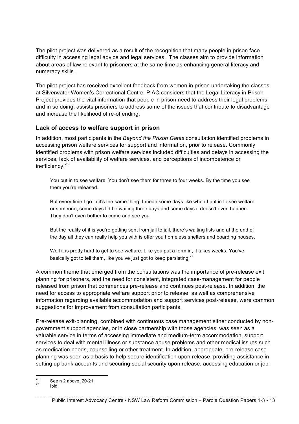The pilot project was delivered as a result of the recognition that many people in prison face difficulty in accessing legal advice and legal services. The classes aim to provide information about areas of law relevant to prisoners at the same time as enhancing general literacy and numeracy skills.

The pilot project has received excellent feedback from women in prison undertaking the classes at Silverwater Women's Correctional Centre. PIAC considers that the Legal Literacy in Prison Project provides the vital information that people in prison need to address their legal problems and in so doing, assists prisoners to address some of the issues that contribute to disadvantage and increase the likelihood of re-offending.

#### **Lack of access to welfare support in prison**

In addition, most participants in the *Beyond the Prison Gates* consultation identified problems in accessing prison welfare services for support and information, prior to release. Commonly identified problems with prison welfare services included difficulties and delays in accessing the services, lack of availability of welfare services, and perceptions of incompetence or inefficiency.26

You put in to see welfare. You don't see them for three to four weeks. By the time you see them you're released.

But every time I go in it's the same thing. I mean some days like when I put in to see welfare or someone, some days I'd be waiting three days and some days it doesn't even happen. They don't even bother to come and see you.

But the reality of it is you're getting sent from jail to jail, there's waiting lists and at the end of the day all they can really help you with is offer you homeless shelters and boarding houses.

Well it is pretty hard to get to see welfare. Like you put a form in, it takes weeks. You've basically got to tell them, like you've just got to keep persisting. $27$ 

A common theme that emerged from the consultations was the importance of pre-release exit planning for prisoners, and the need for consistent, integrated case-management for people released from prison that commences pre-release and continues post-release. In addition, the need for access to appropriate welfare support prior to release, as well as comprehensive information regarding available accommodation and support services post-release, were common suggestions for improvement from consultation participants.

Pre-release exit-planning, combined with continuous case management either conducted by nongovernment support agencies, or in close partnership with those agencies, was seen as a valuable service in terms of accessing immediate and medium-term accommodation, support services to deal with mental illness or substance abuse problems and other medical issues such as medication needs, counselling or other treatment. In addition, appropriate, pre-release case planning was seen as a basis to help secure identification upon release, providing assistance in setting up bank accounts and securing social security upon release, accessing education or job-

 $rac{26}{27}$  See n 2 above, 20-21.<br>Ibid.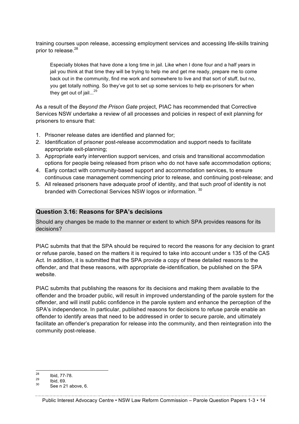training courses upon release, accessing employment services and accessing life-skills training prior to release.<sup>28</sup>

Especially blokes that have done a long time in jail. Like when I done four and a half years in jail you think at that time they will be trying to help me and get me ready, prepare me to come back out in the community, find me work and somewhere to live and that sort of stuff, but no, you get totally nothing. So they've got to set up some services to help ex-prisoners for when they get out of  $i$ ail...<sup>29</sup>

As a result of the *Beyond the Prison Gate* project, PIAC has recommended that Corrective Services NSW undertake a review of all processes and policies in respect of exit planning for prisoners to ensure that:

- 1. Prisoner release dates are identified and planned for;
- 2. Identification of prisoner post-release accommodation and support needs to facilitate appropriate exit-planning;
- 3. Appropriate early intervention support services, and crisis and transitional accommodation options for people being released from prison who do not have safe accommodation options;
- 4. Early contact with community-based support and accommodation services, to ensure continuous case management commencing prior to release, and continuing post-release; and
- 5. All released prisoners have adequate proof of identity, and that such proof of identity is not branded with Correctional Services NSW logos or information. 30

#### **Question 3.16: Reasons for SPA's decisions**

Should any changes be made to the manner or extent to which SPA provides reasons for its decisions?

PIAC submits that that the SPA should be required to record the reasons for any decision to grant or refuse parole, based on the matters it is required to take into account under s 135 of the CAS Act. In addition, it is submitted that the SPA provide a copy of these detailed reasons to the offender, and that these reasons, with appropriate de-identification, be published on the SPA website.

PIAC submits that publishing the reasons for its decisions and making them available to the offender and the broader public, will result in improved understanding of the parole system for the offender, and will instil public confidence in the parole system and enhance the perception of the SPA's independence. In particular, published reasons for decisions to refuse parole enable an offender to identify areas that need to be addressed in order to secure parole, and ultimately facilitate an offender's preparation for release into the community, and then reintegration into the community post-release.

 $\frac{28}{29}$  Ibid, 77-78.<br>  $\frac{29}{30}$  Ibid, 69.<br>
See n 21 above. 6.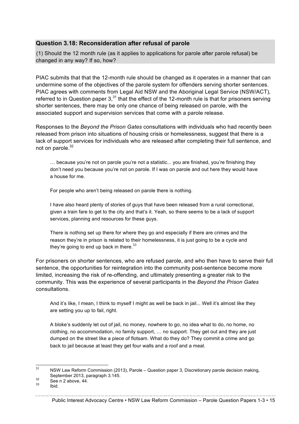#### **Question 3.18: Reconsideration after refusal of parole**

(1) Should the 12 month rule (as it applies to applications for parole after parole refusal) be changed in any way? If so, how?

PIAC submits that that the 12-month rule should be changed as it operates in a manner that can undermine some of the objectives of the parole system for offenders serving shorter sentences. PIAC agrees with comments from Legal Aid NSW and the Aboriginal Legal Service (NSW/ACT), referred to in Question paper  $3<sup>31</sup>$  that the effect of the 12-month rule is that for prisoners serving shorter sentences, there may be only one chance of being released on parole, with the associated support and supervision services that come with a parole release.

Responses to the *Beyond the Prison Gates* consultations with individuals who had recently been released from prison into situations of housing crisis or homelessness, suggest that there is a lack of support services for individuals who are released after completing their full sentence, and not on parole.<sup>32</sup>

… because you're not on parole you're not a statistic... you are finished, you're finishing they don't need you because you're not on parole. If I was on parole and out here they would have a house for me.

For people who aren't being released on parole there is nothing.

I have also heard plenty of stories of guys that have been released from a rural correctional, given a train fare to get to the city and that's it. Yeah, so there seems to be a lack of support services, planning and resources for these guys.

There is nothing set up there for where they go and especially if there are crimes and the reason they're in prison is related to their homelessness, it is just going to be a cycle and they're going to end up back in there. $33$ 

For prisoners on shorter sentences, who are refused parole, and who then have to serve their full sentence, the opportunities for reintegration into the community post-sentence become more limited, increasing the risk of re-offending, and ultimately presenting a greater risk to the community. This was the experience of several participants in the *Beyond the Prison Gates* consultations.

And it's like, I mean, I think to myself I might as well be back in jail... Well it's almost like they are setting you up to fail, right.

A bloke's suddenly let out of jail, no money, nowhere to go, no idea what to do, no home, no clothing, no accommodation, no family support, … no support. They get out and they are just dumped on the street like a piece of flotsam. What do they do? They commit a crime and go back to jail because at least they get four walls and a roof and a meal.

 $31$  NSW Law Reform Commission (2013), Parole – Question paper 3, Discretionary parole decision making, September 2013, paragraph 3.145.<br>  $\begin{array}{r} 3^2 \\ 3^3 \end{array}$  See n 2 above, 44.